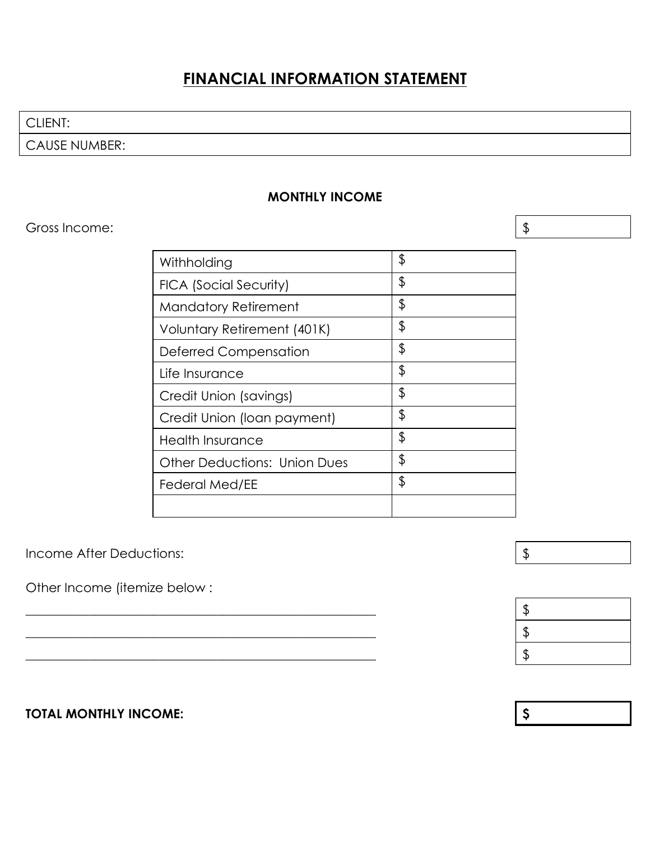# **FINANCIAL INFORMATION STATEMENT**

CLIENT:

CAUSE NUMBER:

#### **MONTHLY INCOME**

### Gross Income:  $\frac{1}{3}$

| Withholding                         | \$ |
|-------------------------------------|----|
| <b>FICA (Social Security)</b>       | \$ |
| <b>Mandatory Retirement</b>         | \$ |
| Voluntary Retirement (401K)         | \$ |
| Deferred Compensation               | \$ |
| Life Insurance                      | \$ |
| Credit Union (savings)              | \$ |
| Credit Union (Ioan payment)         | \$ |
| <b>Health Insurance</b>             | \$ |
| <b>Other Deductions: Union Dues</b> | \$ |
| <b>Federal Med/EE</b>               | \$ |
|                                     |    |

Income After Deductions:  $\frac{1}{2}$ 

Other Income (itemize below :



## **TOTAL MONTHLY INCOME: \$**

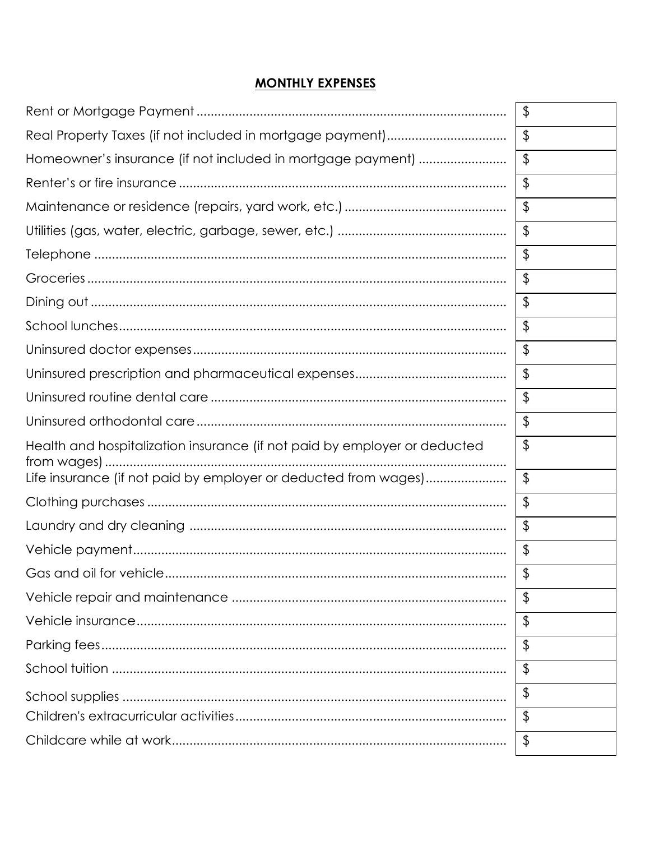#### **MONTHLY EXPENSES**

|                                                                           | $\frac{1}{2}$           |
|---------------------------------------------------------------------------|-------------------------|
|                                                                           | $\frac{1}{2}$           |
|                                                                           | $\frac{1}{2}$           |
|                                                                           | $\frac{1}{2}$           |
|                                                                           | $\frac{1}{2}$           |
|                                                                           | $\frac{1}{2}$           |
|                                                                           | $\frac{1}{2}$           |
|                                                                           | $\frac{1}{2}$           |
|                                                                           | $\frac{1}{2}$           |
|                                                                           | $\frac{1}{2}$           |
|                                                                           | $\frac{1}{2}$           |
|                                                                           | $\frac{1}{2}$           |
|                                                                           | $\frac{1}{2}$           |
|                                                                           | $\frac{1}{2}$           |
| Health and hospitalization insurance (if not paid by employer or deducted | \$                      |
| Life insurance (if not paid by employer or deducted from wages)           | $\frac{1}{2}$           |
|                                                                           | $\frac{1}{2}$           |
|                                                                           | $\frac{1}{2}$           |
|                                                                           | $\frac{1}{2}$           |
|                                                                           | $\sqrt[6]{\frac{1}{2}}$ |
|                                                                           | $\frac{1}{2}$           |
|                                                                           | $\frac{1}{2}$           |
|                                                                           | $\frac{1}{2}$           |
|                                                                           | $\frac{1}{2}$           |
|                                                                           | \$                      |
|                                                                           | $\frac{1}{2}$           |
|                                                                           | $\frac{1}{2}$           |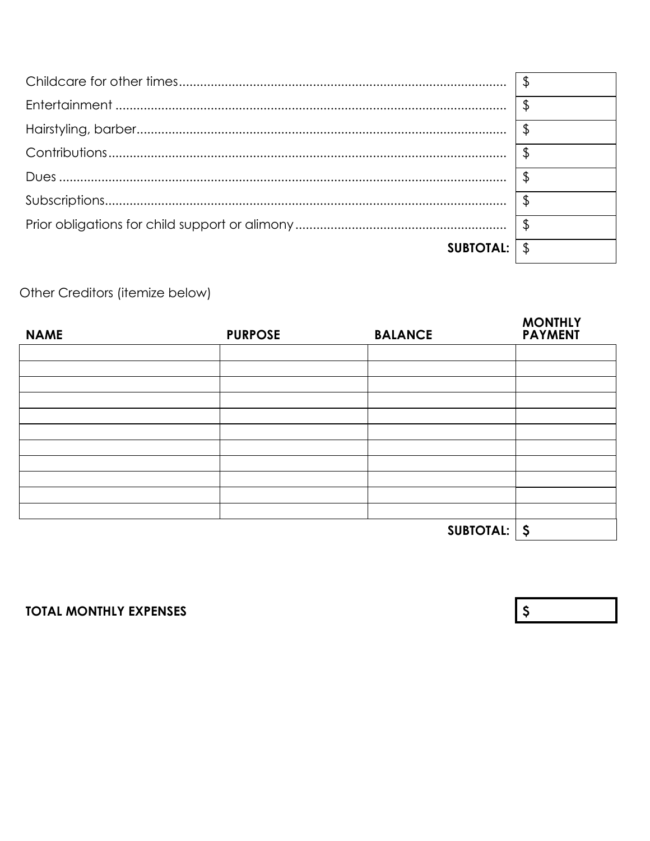|                  | \$ |
|------------------|----|
|                  |    |
|                  |    |
|                  |    |
|                  |    |
|                  |    |
| <b>SUBTOTAL:</b> |    |

Other Creditors (itemize below)

| <b>NAME</b> | <b>PURPOSE</b>                 | <b>BALANCE</b> | <b>MONTHLY</b><br><b>PAYMENT</b> |
|-------------|--------------------------------|----------------|----------------------------------|
|             |                                |                |                                  |
|             |                                |                |                                  |
|             |                                |                |                                  |
|             |                                |                |                                  |
|             |                                |                |                                  |
|             |                                |                |                                  |
|             |                                |                |                                  |
|             |                                |                |                                  |
|             |                                |                |                                  |
|             |                                |                |                                  |
|             |                                |                |                                  |
|             | $\sqrt{5}$<br><b>SUBTOTAL:</b> |                |                                  |

**TOTAL MONTHLY EXPENSES** 

 $\begin{array}{c} \text{S} \end{array}$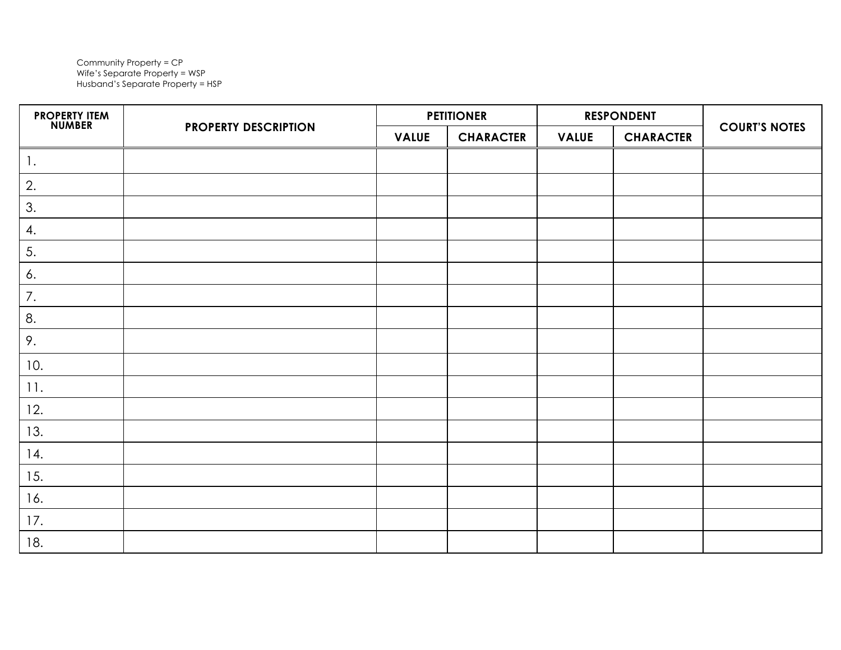Community Property = CP Wife's Separate Property = WSP Husband's Separate Property = HSP

| <b>PROPERTY ITEM<br/>NUMBER</b> | <b>PROPERTY DESCRIPTION</b> | <b>PETITIONER</b> |                  | <b>RESPONDENT</b> |                  |                      |
|---------------------------------|-----------------------------|-------------------|------------------|-------------------|------------------|----------------------|
|                                 |                             | <b>VALUE</b>      | <b>CHARACTER</b> | <b>VALUE</b>      | <b>CHARACTER</b> | <b>COURT'S NOTES</b> |
| $\overline{1}$ .                |                             |                   |                  |                   |                  |                      |
| 2.                              |                             |                   |                  |                   |                  |                      |
| $\mathfrak{Z}.$                 |                             |                   |                  |                   |                  |                      |
| 4.                              |                             |                   |                  |                   |                  |                      |
| 5.                              |                             |                   |                  |                   |                  |                      |
| 6.                              |                             |                   |                  |                   |                  |                      |
| 7.                              |                             |                   |                  |                   |                  |                      |
| 8.                              |                             |                   |                  |                   |                  |                      |
| 9.                              |                             |                   |                  |                   |                  |                      |
| 10.                             |                             |                   |                  |                   |                  |                      |
| 11.                             |                             |                   |                  |                   |                  |                      |
| 12.                             |                             |                   |                  |                   |                  |                      |
| 13.                             |                             |                   |                  |                   |                  |                      |
| 14.                             |                             |                   |                  |                   |                  |                      |
| 15.                             |                             |                   |                  |                   |                  |                      |
| 16.                             |                             |                   |                  |                   |                  |                      |
| 17.                             |                             |                   |                  |                   |                  |                      |
| 18.                             |                             |                   |                  |                   |                  |                      |